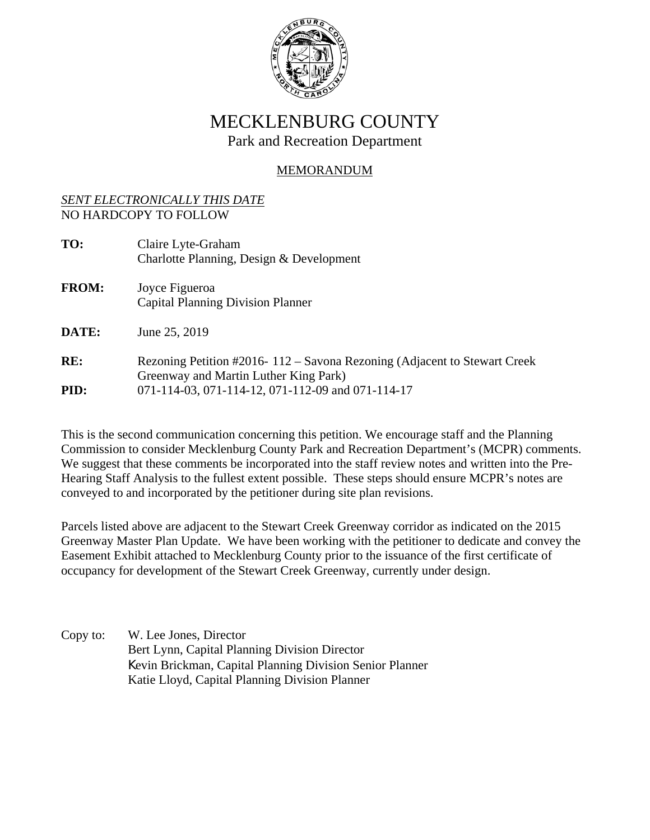

## MECKLENBURG COUNTY Park and Recreation Department

## MEMORANDUM

### *SENT ELECTRONICALLY THIS DATE* NO HARDCOPY TO FOLLOW

| TO:          | Claire Lyte-Graham<br>Charlotte Planning, Design & Development                                                    |
|--------------|-------------------------------------------------------------------------------------------------------------------|
| <b>FROM:</b> | Joyce Figueroa<br><b>Capital Planning Division Planner</b>                                                        |
| DATE:        | June 25, 2019                                                                                                     |
| RE:          | Rezoning Petition #2016-112 – Savona Rezoning (Adjacent to Stewart Creek<br>Greenway and Martin Luther King Park) |
| PID:         | 071-114-03, 071-114-12, 071-112-09 and 071-114-17                                                                 |

This is the second communication concerning this petition. We encourage staff and the Planning Commission to consider Mecklenburg County Park and Recreation Department's (MCPR) comments. We suggest that these comments be incorporated into the staff review notes and written into the Pre-Hearing Staff Analysis to the fullest extent possible. These steps should ensure MCPR's notes are conveyed to and incorporated by the petitioner during site plan revisions.

Parcels listed above are adjacent to the Stewart Creek Greenway corridor as indicated on the 2015 Greenway Master Plan Update. We have been working with the petitioner to dedicate and convey the Easement Exhibit attached to Mecklenburg County prior to the issuance of the first certificate of occupancy for development of the Stewart Creek Greenway, currently under design.

Copy to: W. Lee Jones, Director Bert Lynn, Capital Planning Division Director Kevin Brickman, Capital Planning Division Senior Planner Katie Lloyd, Capital Planning Division Planner